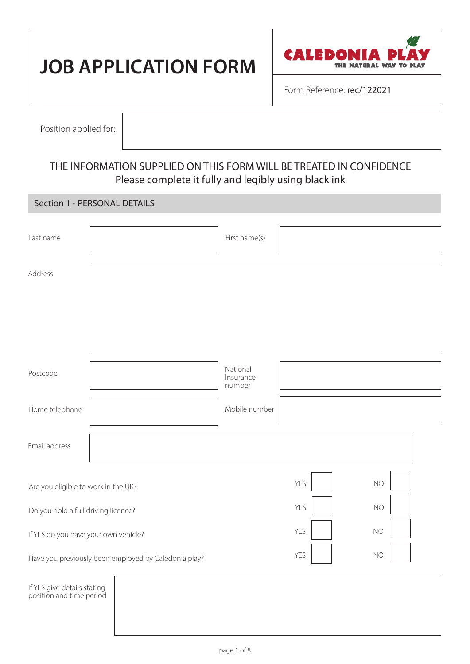# **JOB APPLICATION FORM**



Form Reference: rec/122021

Position applied for:

# THE INFORMATION SUPPLIED ON THIS FORM WILL BE TREATED IN CONFIDENCE Please complete it fully and legibly using black ink

#### Section 1 - PERSONAL DETAILS

| Last name                                               |  | First name(s)                   |            |           |
|---------------------------------------------------------|--|---------------------------------|------------|-----------|
| Address                                                 |  |                                 |            |           |
|                                                         |  |                                 |            |           |
|                                                         |  |                                 |            |           |
| Postcode                                                |  | National<br>Insurance<br>number |            |           |
| Home telephone                                          |  | Mobile number                   |            |           |
| Email address                                           |  |                                 |            |           |
| Are you eligible to work in the UK?                     |  |                                 | <b>YES</b> | <b>NO</b> |
| Do you hold a full driving licence?                     |  |                                 | YES        | <b>NO</b> |
| If YES do you have your own vehicle?                    |  |                                 | YES        | <b>NO</b> |
| Have you previously been employed by Caledonia play?    |  |                                 | YES        | NO        |
| If YES give details stating<br>position and time period |  |                                 |            |           |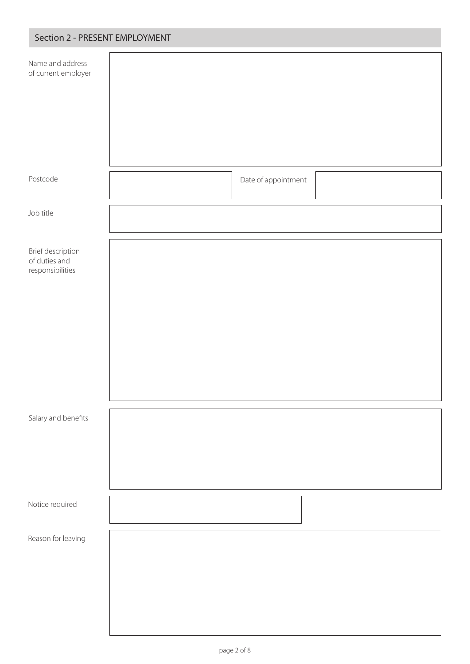| Name and address<br>of current employer                |                     |  |
|--------------------------------------------------------|---------------------|--|
| Postcode                                               | Date of appointment |  |
| Job title                                              |                     |  |
| Brief description<br>of duties and<br>responsibilities |                     |  |
| Salary and benefits                                    |                     |  |
| Notice required                                        |                     |  |
| Reason for leaving                                     |                     |  |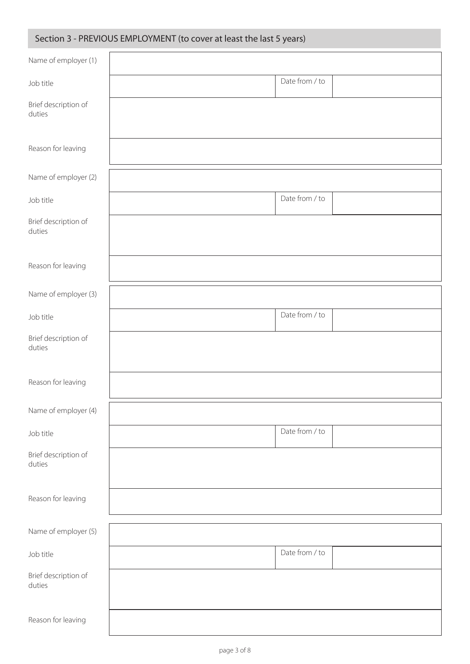## Section 3 - PREVIOUS EMPLOYMENT (to cover at least the last 5 years)

| Name of employer (1)           |                |
|--------------------------------|----------------|
| Job title                      | Date from / to |
| Brief description of<br>duties |                |
| Reason for leaving             |                |
| Name of employer (2)           |                |
| Job title                      | Date from / to |
| Brief description of<br>duties |                |
| Reason for leaving             |                |
| Name of employer (3)           |                |
| Job title                      | Date from / to |
| Brief description of<br>duties |                |
| Reason for leaving             |                |
| Name of employer (4)           |                |
| Job title                      | Date from / to |
| Brief description of<br>duties |                |
| Reason for leaving             |                |
| Name of employer (5)           |                |
| Job title                      | Date from / to |
| Brief description of<br>duties |                |
| Reason for leaving             |                |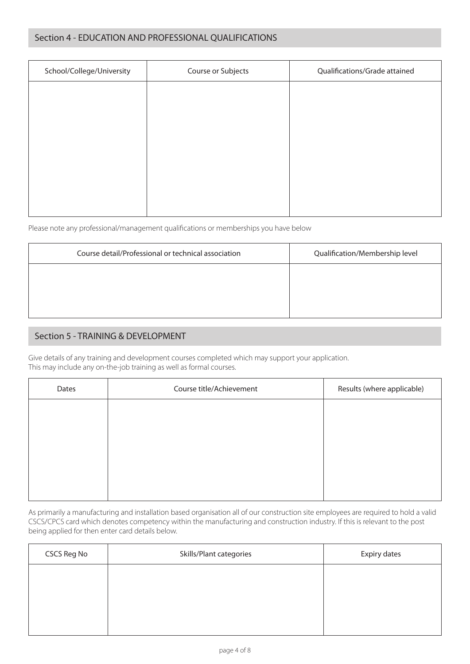#### Section 4 - EDUCATION AND PROFESSIONAL QUALIFICATIONS

| School/College/University | Course or Subjects | Qualifications/Grade attained |
|---------------------------|--------------------|-------------------------------|
|                           |                    |                               |
|                           |                    |                               |
|                           |                    |                               |
|                           |                    |                               |
|                           |                    |                               |
|                           |                    |                               |
|                           |                    |                               |

Please note any professional/management qualifications or memberships you have below

| Course detail/Professional or technical association | Qualification/Membership level |
|-----------------------------------------------------|--------------------------------|
|                                                     |                                |
|                                                     |                                |
|                                                     |                                |

#### Section 5 - TRAINING & DEVELOPMENT

Give details of any training and development courses completed which may support your application. This may include any on-the-job training as well as formal courses.

| Dates | Course title/Achievement | Results (where applicable) |
|-------|--------------------------|----------------------------|
|       |                          |                            |
|       |                          |                            |
|       |                          |                            |
|       |                          |                            |
|       |                          |                            |

As primarily a manufacturing and installation based organisation all of our construction site employees are required to hold a valid CSCS/CPCS card which denotes competency within the manufacturing and construction industry. If this is relevant to the post being applied for then enter card details below.

| CSCS Reg No | Skills/Plant categories | Expiry dates |
|-------------|-------------------------|--------------|
|             |                         |              |
|             |                         |              |
|             |                         |              |
|             |                         |              |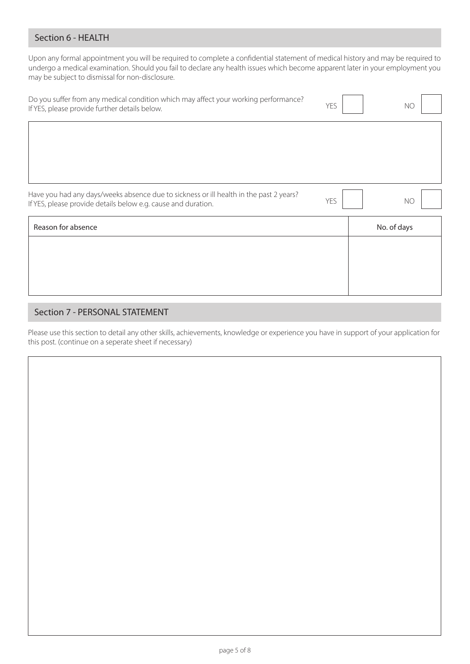#### Section 6 - HEALTH

Upon any formal appointment you will be required to complete a confidential statement of medical history and may be required to undergo a medical examination. Should you fail to declare any health issues which become apparent later in your employment you may be subject to dismissal for non-disclosure.

| Do you suffer from any medical condition which may affect your working performance?<br>If YES, please provide further details below.                    | YES | <b>NO</b>   |
|---------------------------------------------------------------------------------------------------------------------------------------------------------|-----|-------------|
|                                                                                                                                                         |     |             |
|                                                                                                                                                         |     |             |
| Have you had any days/weeks absence due to sickness or ill health in the past 2 years?<br>If YES, please provide details below e.g. cause and duration. | YES | <b>NO</b>   |
| Reason for absence                                                                                                                                      |     | No. of days |
|                                                                                                                                                         |     |             |
|                                                                                                                                                         |     |             |
|                                                                                                                                                         |     |             |

### Section 7 - PERSONAL STATEMENT

Please use this section to detail any other skills, achievements, knowledge or experience you have in support of your application for this post. (continue on a seperate sheet if necessary)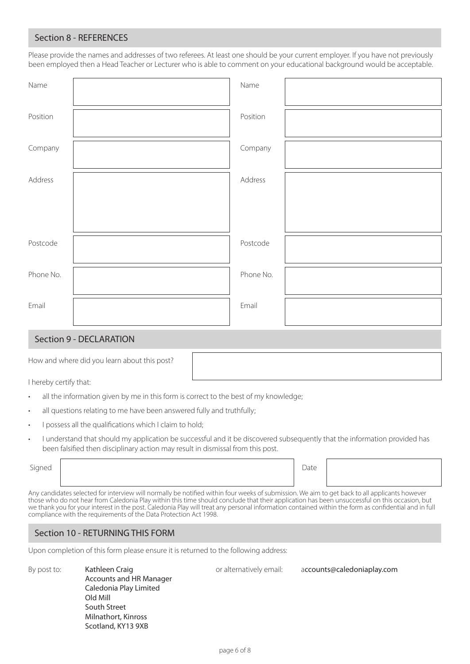#### Section 8 - REFERENCES

Please provide the names and addresses of two referees. At least one should be your current employer. If you have not previously been employed then a Head Teacher or Lecturer who is able to comment on your educational background would be acceptable.

| Name      | Name      |  |
|-----------|-----------|--|
| Position  | Position  |  |
| Company   | Company   |  |
| Address   | Address   |  |
|           |           |  |
| Postcode  | Postcode  |  |
| Phone No. | Phone No. |  |
| Email     | Email     |  |

#### Section 9 - DECLARATION

How and where did you learn about this post?

I hereby certify that:

- all the information given by me in this form is correct to the best of my knowledge;
- all questions relating to me have been answered fully and truthfully;
- I possess all the qualifications which I claim to hold;
- I understand that should my application be successful and it be discovered subsequently that the information provided has been falsified then disciplinary action may result in dismissal from this post.

Signed **Date** 

or alternatively email: accounts@caledoniaplay.com

Any candidates selected for interview will normally be notified within four weeks of submission. We aim to get back to all applicants however those who do not hear from Caledonia Play within this time should conclude that their application has been unsuccessful on this occasion, but we thank you for your interest in the post. Caledonia Play will treat any personal information contained within the form as confidential and in full compliance with the requirements of the Data Protection Act 1998.

#### Section 10 - RETURNING THIS FORM

Upon completion of this form please ensure it is returned to the following address:

By post to: Kathleen Craig Accounts and HR Manager Caledonia Play Limited Old Mill South Street Milnathort, Kinross Scotland, KY13 9XB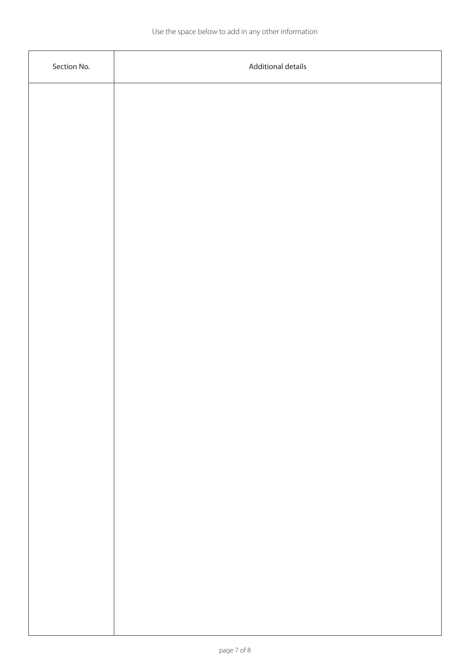| Section No. | Additional details |
|-------------|--------------------|
|             |                    |
|             |                    |
|             |                    |
|             |                    |
|             |                    |
|             |                    |
|             |                    |
|             |                    |
|             |                    |
|             |                    |
|             |                    |
|             |                    |
|             |                    |
|             |                    |
|             |                    |
|             |                    |
|             |                    |
|             |                    |